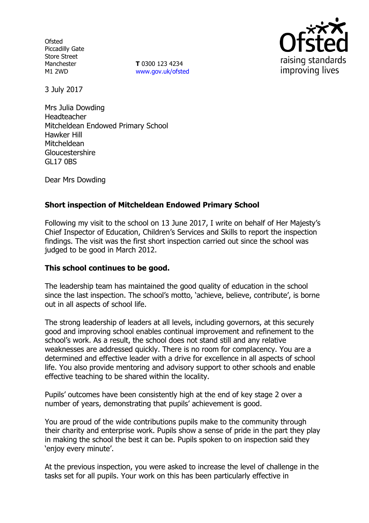**Ofsted** Piccadilly Gate Store Street Manchester M1 2WD

**T** 0300 123 4234 www.gov.uk/ofsted



3 July 2017

Mrs Julia Dowding Headteacher Mitcheldean Endowed Primary School Hawker Hill **Mitcheldean Gloucestershire** GL17 0BS

Dear Mrs Dowding

# **Short inspection of Mitcheldean Endowed Primary School**

Following my visit to the school on 13 June 2017, I write on behalf of Her Majesty's Chief Inspector of Education, Children's Services and Skills to report the inspection findings. The visit was the first short inspection carried out since the school was judged to be good in March 2012.

### **This school continues to be good.**

The leadership team has maintained the good quality of education in the school since the last inspection. The school's motto, 'achieve, believe, contribute', is borne out in all aspects of school life.

The strong leadership of leaders at all levels, including governors, at this securely good and improving school enables continual improvement and refinement to the school's work. As a result, the school does not stand still and any relative weaknesses are addressed quickly. There is no room for complacency. You are a determined and effective leader with a drive for excellence in all aspects of school life. You also provide mentoring and advisory support to other schools and enable effective teaching to be shared within the locality.

Pupils' outcomes have been consistently high at the end of key stage 2 over a number of years, demonstrating that pupils' achievement is good.

You are proud of the wide contributions pupils make to the community through their charity and enterprise work. Pupils show a sense of pride in the part they play in making the school the best it can be. Pupils spoken to on inspection said they 'enjoy every minute'.

At the previous inspection, you were asked to increase the level of challenge in the tasks set for all pupils. Your work on this has been particularly effective in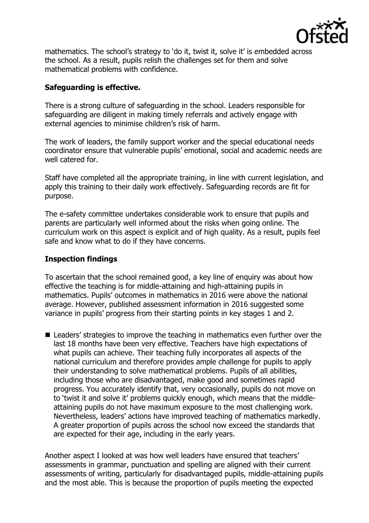

mathematics. The school's strategy to 'do it, twist it, solve it' is embedded across the school. As a result, pupils relish the challenges set for them and solve mathematical problems with confidence.

# **Safeguarding is effective.**

There is a strong culture of safeguarding in the school. Leaders responsible for safeguarding are diligent in making timely referrals and actively engage with external agencies to minimise children's risk of harm.

The work of leaders, the family support worker and the special educational needs coordinator ensure that vulnerable pupils' emotional, social and academic needs are well catered for.

Staff have completed all the appropriate training, in line with current legislation, and apply this training to their daily work effectively. Safeguarding records are fit for purpose.

The e-safety committee undertakes considerable work to ensure that pupils and parents are particularly well informed about the risks when going online. The curriculum work on this aspect is explicit and of high quality. As a result, pupils feel safe and know what to do if they have concerns.

## **Inspection findings**

To ascertain that the school remained good, a key line of enquiry was about how effective the teaching is for middle-attaining and high-attaining pupils in mathematics. Pupils' outcomes in mathematics in 2016 were above the national average. However, published assessment information in 2016 suggested some variance in pupils' progress from their starting points in key stages 1 and 2.

■ Leaders' strategies to improve the teaching in mathematics even further over the last 18 months have been very effective. Teachers have high expectations of what pupils can achieve. Their teaching fully incorporates all aspects of the national curriculum and therefore provides ample challenge for pupils to apply their understanding to solve mathematical problems. Pupils of all abilities, including those who are disadvantaged, make good and sometimes rapid progress. You accurately identify that, very occasionally, pupils do not move on to 'twist it and solve it' problems quickly enough, which means that the middleattaining pupils do not have maximum exposure to the most challenging work. Nevertheless, leaders' actions have improved teaching of mathematics markedly. A greater proportion of pupils across the school now exceed the standards that are expected for their age, including in the early years.

Another aspect I looked at was how well leaders have ensured that teachers' assessments in grammar, punctuation and spelling are aligned with their current assessments of writing, particularly for disadvantaged pupils, middle-attaining pupils and the most able. This is because the proportion of pupils meeting the expected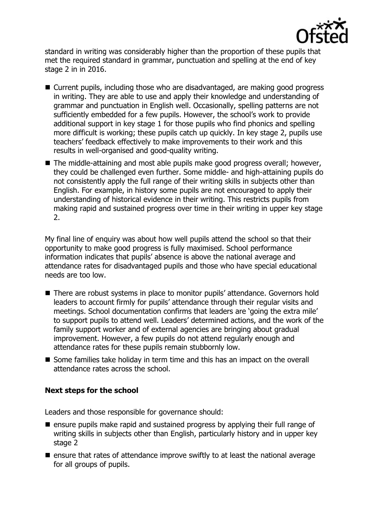

standard in writing was considerably higher than the proportion of these pupils that met the required standard in grammar, punctuation and spelling at the end of key stage 2 in in 2016.

- Current pupils, including those who are disadvantaged, are making good progress in writing. They are able to use and apply their knowledge and understanding of grammar and punctuation in English well. Occasionally, spelling patterns are not sufficiently embedded for a few pupils. However, the school's work to provide additional support in key stage 1 for those pupils who find phonics and spelling more difficult is working; these pupils catch up quickly. In key stage 2, pupils use teachers' feedback effectively to make improvements to their work and this results in well-organised and good-quality writing.
- The middle-attaining and most able pupils make good progress overall; however, they could be challenged even further. Some middle- and high-attaining pupils do not consistently apply the full range of their writing skills in subjects other than English. For example, in history some pupils are not encouraged to apply their understanding of historical evidence in their writing. This restricts pupils from making rapid and sustained progress over time in their writing in upper key stage 2.

My final line of enquiry was about how well pupils attend the school so that their opportunity to make good progress is fully maximised. School performance information indicates that pupils' absence is above the national average and attendance rates for disadvantaged pupils and those who have special educational needs are too low.

- There are robust systems in place to monitor pupils' attendance. Governors hold leaders to account firmly for pupils' attendance through their regular visits and meetings. School documentation confirms that leaders are 'going the extra mile' to support pupils to attend well. Leaders' determined actions, and the work of the family support worker and of external agencies are bringing about gradual improvement. However, a few pupils do not attend regularly enough and attendance rates for these pupils remain stubbornly low.
- Some families take holiday in term time and this has an impact on the overall attendance rates across the school.

### **Next steps for the school**

Leaders and those responsible for governance should:

- $\blacksquare$  ensure pupils make rapid and sustained progress by applying their full range of writing skills in subjects other than English, particularly history and in upper key stage 2
- $\blacksquare$  ensure that rates of attendance improve swiftly to at least the national average for all groups of pupils.